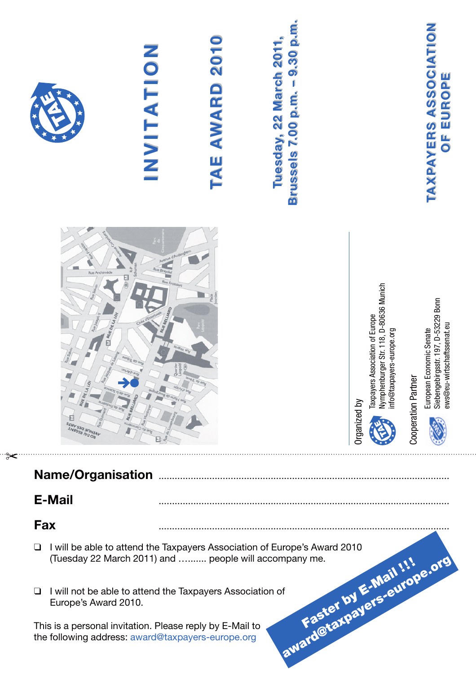

 This is a personal invitation. Please reply by E-Mail to the following address: award@taxpayers-europe.org